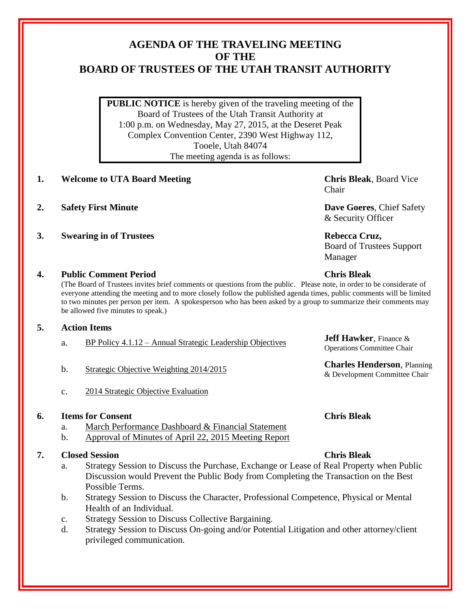# **AGENDA OF THE TRAVELING MEETING OF THE BOARD OF TRUSTEES OF THE UTAH TRANSIT AUTHORITY**

**PUBLIC NOTICE** is hereby given of the traveling meeting of the Board of Trustees of the Utah Transit Authority at 1:00 p.m. on Wednesday, May 27, 2015, at the Deseret Peak Complex Convention Center, 2390 West Highway 112, Tooele, Utah 84074 The meeting agenda is as follows:

- **1. Welcome to UTA Board Meeting Chris Bleak**, Board Vice
- **2. Safety First Minute Dave Goeres**, Chief Safety
- **3. Swearing in of Trustees Rebecca Cruz, Rebecca Cruz,**

Chair

& Security Officer

Board of Trustees Support Manager

Operations Committee Chair

& Development Committee Chair

### **4. Public Comment Period Chris Bleak**

(The Board of Trustees invites brief comments or questions from the public. Please note, in order to be considerate of everyone attending the meeting and to more closely follow the published agenda times, public comments will be limited to two minutes per person per item. A spokesperson who has been asked by a group to summarize their comments may be allowed five minutes to speak.)

### **5. Action Items**

- a. BP Policy 4.1.12 Annual Strategic Leadership Objectives **Jeff Hawker**, Finance &
- b. Strategic Objective Weighting 2014/2015 **Charles Henderson**, Planning
- c. 2014 Strategic Objective Evaluation

### **6. Items for Consent Chris Bleak**

- a. March Performance Dashboard & Financial Statement
- b. Approval of Minutes of April 22, 2015 Meeting Report

## **7. Closed Session Chris Bleak**

- 
- a. Strategy Session to Discuss the Purchase, Exchange or Lease of Real Property when Public Discussion would Prevent the Public Body from Completing the Transaction on the Best Possible Terms.
- b. Strategy Session to Discuss the Character, Professional Competence, Physical or Mental Health of an Individual.
- c. Strategy Session to Discuss Collective Bargaining.
- d. Strategy Session to Discuss On-going and/or Potential Litigation and other attorney/client privileged communication.